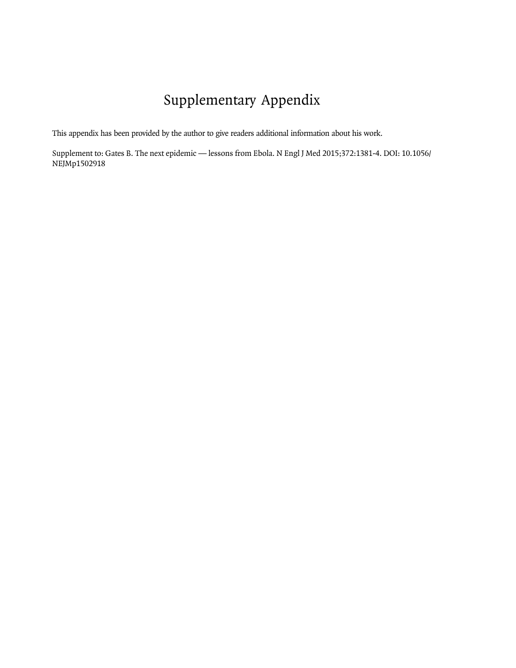# Supplementary Appendix

This appendix has been provided by the author to give readers additional information about his work.

Supplement to: Gates B. The next epidemic — lessons from Ebola. N Engl J Med 2015;372:1381-4. DOI: 10.1056/ NEJMp1502918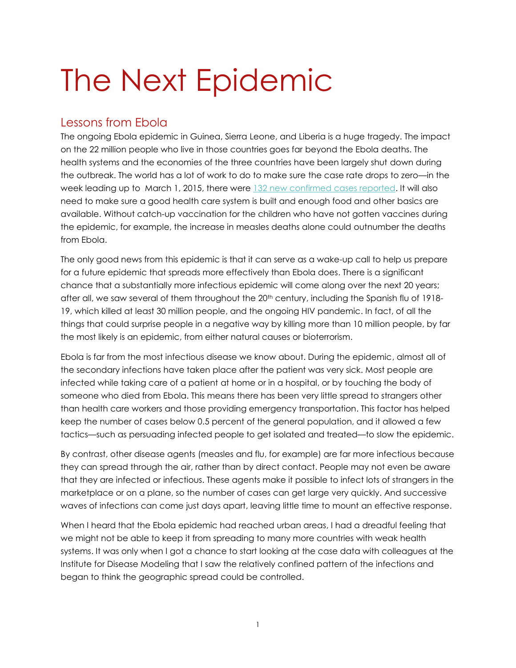# The Next Epidemic

#### Lessons from Ebola

The ongoing Ebola epidemic in Guinea, Sierra Leone, and Liberia is a huge tragedy. The impact on the 22 million people who live in those countries goes far beyond the Ebola deaths. The health systems and the economies of the three countries have been largely shut down during the outbreak. The world has a lot of work to do to make sure the case rate drops to zero—in the week leading up to March 1, 2015, there were [132 new confirmed](http://apps.who.int/ebola/current-situation/ebola-situation-report-4-march-2015) cases reported. It will also need to make sure a good health care system is built and enough food and other basics are available. Without catch-up vaccination for the children who have not gotten vaccines during the epidemic, for example, the increase in measles deaths alone could outnumber the deaths from Ebola.

The only good news from this epidemic is that it can serve as a wake-up call to help us prepare for a future epidemic that spreads more effectively than Ebola does. There is a significant chance that a substantially more infectious epidemic will come along over the next 20 years; after all, we saw several of them throughout the  $20<sup>th</sup>$  century, including the Spanish flu of 1918-19, which killed at least 30 million people, and the ongoing HIV pandemic. In fact, of all the things that could surprise people in a negative way by killing more than 10 million people, by far the most likely is an epidemic, from either natural causes or bioterrorism.

Ebola is far from the most infectious disease we know about. During the epidemic, almost all of the secondary infections have taken place after the patient was very sick. Most people are infected while taking care of a patient at home or in a hospital, or by touching the body of someone who died from Ebola. This means there has been very little spread to strangers other than health care workers and those providing emergency transportation. This factor has helped keep the number of cases below 0.5 percent of the general population, and it allowed a few tactics—such as persuading infected people to get isolated and treated—to slow the epidemic.

By contrast, other disease agents (measles and flu, for example) are far more infectious because they can spread through the air, rather than by direct contact. People may not even be aware that they are infected or infectious. These agents make it possible to infect lots of strangers in the marketplace or on a plane, so the number of cases can get large very quickly. And successive waves of infections can come just days apart, leaving little time to mount an effective response.

When I heard that the Ebola epidemic had reached urban areas, I had a dreadful feeling that we might not be able to keep it from spreading to many more countries with weak health systems. It was only when I got a chance to start looking at the case data with colleagues at the Institute for Disease Modeling that I saw the relatively confined pattern of the infections and began to think the geographic spread could be controlled.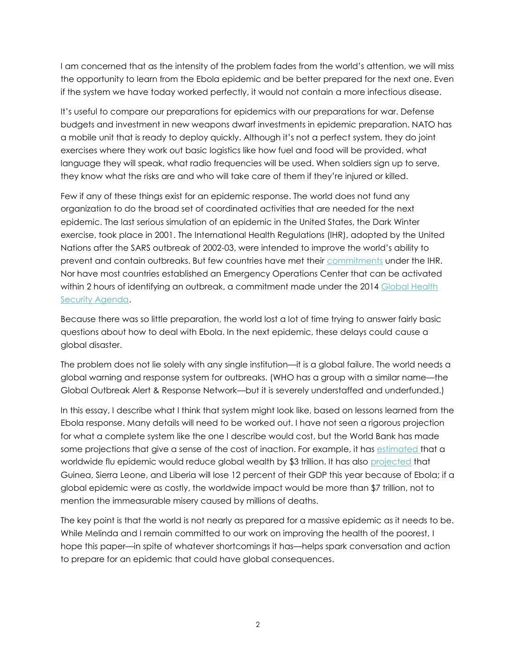I am concerned that as the intensity of the problem fades from the world's attention, we will miss the opportunity to learn from the Ebola epidemic and be better prepared for the next one. Even if the system we have today worked perfectly, it would not contain a more infectious disease.

It's useful to compare our preparations for epidemics with our preparations for war. Defense budgets and investment in new weapons dwarf investments in epidemic preparation. NATO has a mobile unit that is ready to deploy quickly. Although it's not a perfect system, they do joint exercises where they work out basic logistics like how fuel and food will be provided, what language they will speak, what radio frequencies will be used. When soldiers sign up to serve, they know what the risks are and who will take care of them if they're injured or killed.

Few if any of these things exist for an epidemic response. The world does not fund any organization to do the broad set of coordinated activities that are needed for the next epidemic. The last serious simulation of an epidemic in the United States, the Dark Winter exercise, took place in 2001. The International Health Regulations (IHR), adopted by the United Nations after the SARS outbreak of 2002-03, were intended to improve the world's ability to prevent and contain outbreaks. But few countries have met their [commitments](http://apps.who.int/gb/ebwha/pdf_files/WHA64/A64_10-en.pdf) under the IHR. Nor have most countries established an Emergency Operations Center that can be activated within 2 hours of identifying an outbreak, a commitment made under the 2014 [Global Health](http://www.cdc.gov/globalhealth/security)  [Security Agenda.](http://www.cdc.gov/globalhealth/security)

Because there was so little preparation, the world lost a lot of time trying to answer fairly basic questions about how to deal with Ebola. In the next epidemic, these delays could cause a global disaster.

The problem does not lie solely with any single institution—it is a global failure. The world needs a global warning and response system for outbreaks. (WHO has a group with a similar name—the Global Outbreak Alert & Response Network—but it is severely understaffed and underfunded.)

In this essay, I describe what I think that system might look like, based on lessons learned from the Ebola response. Many details will need to be worked out. I have not seen a rigorous projection for what a complete system like the one I describe would cost, but the World Bank has made some projections that give a sense of the cost of inaction. For example, it has [estimated t](http://www.worldbank.org/en/topic/health/brief/pandemic-risk-one-health)hat a worldwide flu epidemic would reduce global wealth by \$3 trillion. It has also [projected](http://documents.worldbank.org/curated/en/2015/01/23831803/economic-impact-ebola-sub-saharan-africa-updated-estimates-2015) that Guinea, Sierra Leone, and Liberia will lose 12 percent of their GDP this year because of Ebola; if a global epidemic were as costly, the worldwide impact would be more than \$7 trillion, not to mention the immeasurable misery caused by millions of deaths.

The key point is that the world is not nearly as prepared for a massive epidemic as it needs to be. While Melinda and I remain committed to our work on improving the health of the poorest, I hope this paper—in spite of whatever shortcomings it has—helps spark conversation and action to prepare for an epidemic that could have global consequences.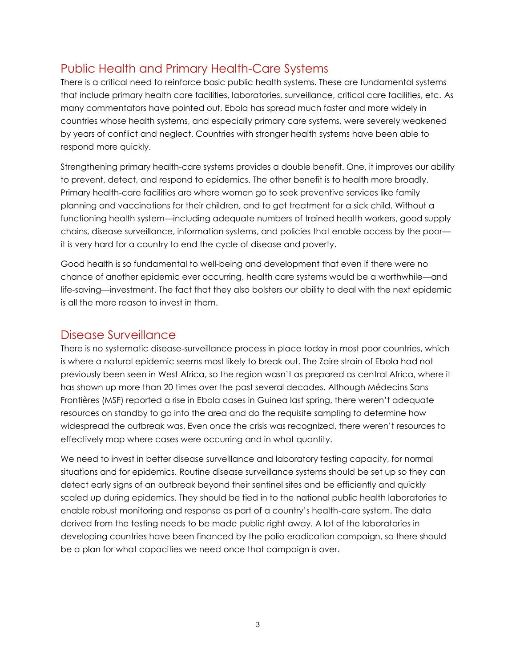# Public Health and Primary Health-Care Systems

There is a critical need to reinforce basic public health systems. These are fundamental systems that include primary health care facilities, laboratories, surveillance, critical care facilities, etc. As many commentators have pointed out, Ebola has spread much faster and more widely in countries whose health systems, and especially primary care systems, were severely weakened by years of conflict and neglect. Countries with stronger health systems have been able to respond more quickly.

Strengthening primary health-care systems provides a double benefit. One, it improves our ability to prevent, detect, and respond to epidemics. The other benefit is to health more broadly. Primary health-care facilities are where women go to seek preventive services like family planning and vaccinations for their children, and to get treatment for a sick child. Without a functioning health system—including adequate numbers of trained health workers, good supply chains, disease surveillance, information systems, and policies that enable access by the poor it is very hard for a country to end the cycle of disease and poverty.

Good health is so fundamental to well-being and development that even if there were no chance of another epidemic ever occurring, health care systems would be a worthwhile—and life-saving—investment. The fact that they also bolsters our ability to deal with the next epidemic is all the more reason to invest in them.

#### Disease Surveillance

There is no systematic disease-surveillance process in place today in most poor countries, which is where a natural epidemic seems most likely to break out. The Zaire strain of Ebola had not previously been seen in West Africa, so the region wasn't as prepared as central Africa, where it has shown up more than 20 times over the past several decades. Although Médecins Sans Frontières (MSF) reported a rise in Ebola cases in Guinea last spring, there weren't adequate resources on standby to go into the area and do the requisite sampling to determine how widespread the outbreak was. Even once the crisis was recognized, there weren't resources to effectively map where cases were occurring and in what quantity.

We need to invest in better disease surveillance and laboratory testing capacity, for normal situations and for epidemics. Routine disease surveillance systems should be set up so they can detect early signs of an outbreak beyond their sentinel sites and be efficiently and quickly scaled up during epidemics. They should be tied in to the national public health laboratories to enable robust monitoring and response as part of a country's health-care system. The data derived from the testing needs to be made public right away. A lot of the laboratories in developing countries have been financed by the polio eradication campaign, so there should be a plan for what capacities we need once that campaign is over.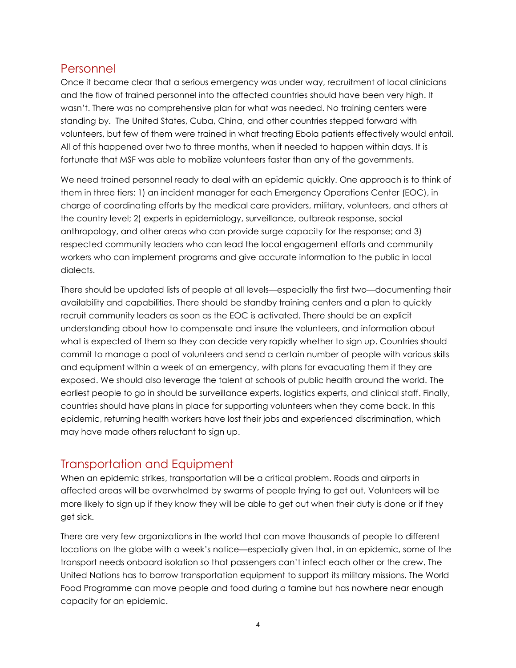#### Personnel

Once it became clear that a serious emergency was under way, recruitment of local clinicians and the flow of trained personnel into the affected countries should have been very high. It wasn't. There was no comprehensive plan for what was needed. No training centers were standing by. The United States, Cuba, China, and other countries stepped forward with volunteers, but few of them were trained in what treating Ebola patients effectively would entail. All of this happened over two to three months, when it needed to happen within days. It is fortunate that MSF was able to mobilize volunteers faster than any of the governments.

We need trained personnel ready to deal with an epidemic quickly. One approach is to think of them in three tiers: 1) an incident manager for each Emergency Operations Center (EOC), in charge of coordinating efforts by the medical care providers, military, volunteers, and others at the country level; 2) experts in epidemiology, surveillance, outbreak response, social anthropology, and other areas who can provide surge capacity for the response; and 3) respected community leaders who can lead the local engagement efforts and community workers who can implement programs and give accurate information to the public in local dialects.

There should be updated lists of people at all levels—especially the first two—documenting their availability and capabilities. There should be standby training centers and a plan to quickly recruit community leaders as soon as the EOC is activated. There should be an explicit understanding about how to compensate and insure the volunteers, and information about what is expected of them so they can decide very rapidly whether to sign up. Countries should commit to manage a pool of volunteers and send a certain number of people with various skills and equipment within a week of an emergency, with plans for evacuating them if they are exposed. We should also leverage the talent at schools of public health around the world. The earliest people to go in should be surveillance experts, logistics experts, and clinical staff. Finally, countries should have plans in place for supporting volunteers when they come back. In this epidemic, returning health workers have lost their jobs and experienced discrimination, which may have made others reluctant to sign up.

#### Transportation and Equipment

When an epidemic strikes, transportation will be a critical problem. Roads and airports in affected areas will be overwhelmed by swarms of people trying to get out. Volunteers will be more likely to sign up if they know they will be able to get out when their duty is done or if they get sick.

There are very few organizations in the world that can move thousands of people to different locations on the globe with a week's notice—especially given that, in an epidemic, some of the transport needs onboard isolation so that passengers can't infect each other or the crew. The United Nations has to borrow transportation equipment to support its military missions. The World Food Programme can move people and food during a famine but has nowhere near enough capacity for an epidemic.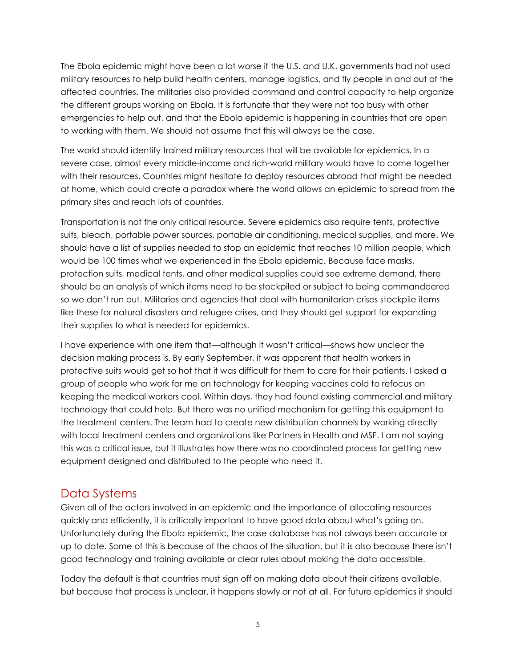The Ebola epidemic might have been a lot worse if the U.S. and U.K. governments had not used military resources to help build health centers, manage logistics, and fly people in and out of the affected countries. The militaries also provided command and control capacity to help organize the different groups working on Ebola. It is fortunate that they were not too busy with other emergencies to help out, and that the Ebola epidemic is happening in countries that are open to working with them. We should not assume that this will always be the case.

The world should identify trained military resources that will be available for epidemics. In a severe case, almost every middle-income and rich-world military would have to come together with their resources. Countries might hesitate to deploy resources abroad that might be needed at home, which could create a paradox where the world allows an epidemic to spread from the primary sites and reach lots of countries.

Transportation is not the only critical resource. Severe epidemics also require tents, protective suits, bleach, portable power sources, portable air conditioning, medical supplies, and more. We should have a list of supplies needed to stop an epidemic that reaches 10 million people, which would be 100 times what we experienced in the Ebola epidemic. Because face masks, protection suits, medical tents, and other medical supplies could see extreme demand, there should be an analysis of which items need to be stockpiled or subject to being commandeered so we don't run out. Militaries and agencies that deal with humanitarian crises stockpile items like these for natural disasters and refugee crises, and they should get support for expanding their supplies to what is needed for epidemics.

I have experience with one item that—although it wasn't critical—shows how unclear the decision making process is. By early September, it was apparent that health workers in protective suits would get so hot that it was difficult for them to care for their patients. I asked a group of people who work for me on technology for keeping vaccines cold to refocus on keeping the medical workers cool. Within days, they had found existing commercial and military technology that could help. But there was no unified mechanism for getting this equipment to the treatment centers. The team had to create new distribution channels by working directly with local treatment centers and organizations like Partners in Health and MSF. I am not saying this was a critical issue, but it illustrates how there was no coordinated process for getting new equipment designed and distributed to the people who need it.

## Data Systems

Given all of the actors involved in an epidemic and the importance of allocating resources quickly and efficiently, it is critically important to have good data about what's going on. Unfortunately during the Ebola epidemic, the case database has not always been accurate or up to date. Some of this is because of the chaos of the situation, but it is also because there isn't good technology and training available or clear rules about making the data accessible.

Today the default is that countries must sign off on making data about their citizens available, but because that process is unclear, it happens slowly or not at all. For future epidemics it should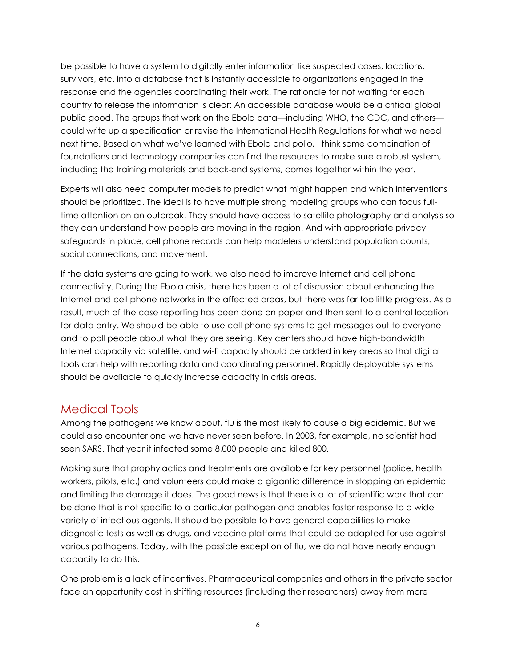be possible to have a system to digitally enter information like suspected cases, locations, survivors, etc. into a database that is instantly accessible to organizations engaged in the response and the agencies coordinating their work. The rationale for not waiting for each country to release the information is clear: An accessible database would be a critical global public good. The groups that work on the Ebola data—including WHO, the CDC, and others could write up a specification or revise the International Health Regulations for what we need next time. Based on what we've learned with Ebola and polio, I think some combination of foundations and technology companies can find the resources to make sure a robust system, including the training materials and back-end systems, comes together within the year.

Experts will also need computer models to predict what might happen and which interventions should be prioritized. The ideal is to have multiple strong modeling groups who can focus fulltime attention on an outbreak. They should have access to satellite photography and analysis so they can understand how people are moving in the region. And with appropriate privacy safeguards in place, cell phone records can help modelers understand population counts, social connections, and movement.

If the data systems are going to work, we also need to improve Internet and cell phone connectivity. During the Ebola crisis, there has been a lot of discussion about enhancing the Internet and cell phone networks in the affected areas, but there was far too little progress. As a result, much of the case reporting has been done on paper and then sent to a central location for data entry. We should be able to use cell phone systems to get messages out to everyone and to poll people about what they are seeing. Key centers should have high-bandwidth Internet capacity via satellite, and wi-fi capacity should be added in key areas so that digital tools can help with reporting data and coordinating personnel. Rapidly deployable systems should be available to quickly increase capacity in crisis areas.

#### Medical Tools

Among the pathogens we know about, flu is the most likely to cause a big epidemic. But we could also encounter one we have never seen before. In 2003, for example, no scientist had seen SARS. That year it infected some 8,000 people and killed 800.

Making sure that prophylactics and treatments are available for key personnel (police, health workers, pilots, etc.) and volunteers could make a gigantic difference in stopping an epidemic and limiting the damage it does. The good news is that there is a lot of scientific work that can be done that is not specific to a particular pathogen and enables faster response to a wide variety of infectious agents. It should be possible to have general capabilities to make diagnostic tests as well as drugs, and vaccine platforms that could be adapted for use against various pathogens. Today, with the possible exception of flu, we do not have nearly enough capacity to do this.

One problem is a lack of incentives. Pharmaceutical companies and others in the private sector face an opportunity cost in shifting resources (including their researchers) away from more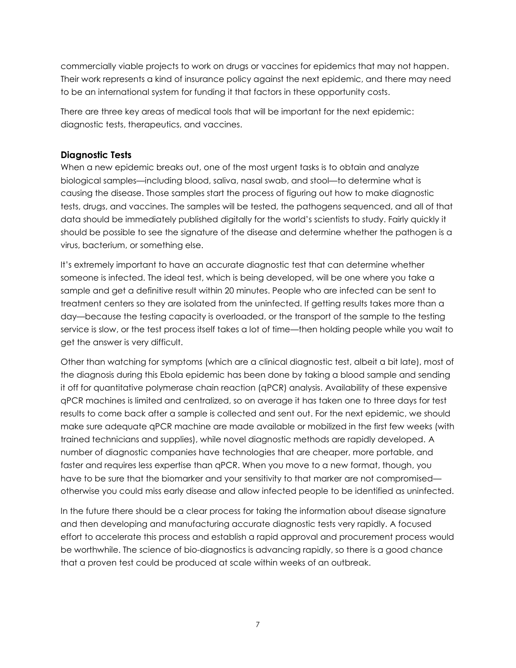commercially viable projects to work on drugs or vaccines for epidemics that may not happen. Their work represents a kind of insurance policy against the next epidemic, and there may need to be an international system for funding it that factors in these opportunity costs.

There are three key areas of medical tools that will be important for the next epidemic: diagnostic tests, therapeutics, and vaccines.

#### **Diagnostic Tests**

When a new epidemic breaks out, one of the most urgent tasks is to obtain and analyze biological samples—including blood, saliva, nasal swab, and stool—to determine what is causing the disease. Those samples start the process of figuring out how to make diagnostic tests, drugs, and vaccines. The samples will be tested, the pathogens sequenced, and all of that data should be immediately published digitally for the world's scientists to study. Fairly quickly it should be possible to see the signature of the disease and determine whether the pathogen is a virus, bacterium, or something else.

It's extremely important to have an accurate diagnostic test that can determine whether someone is infected. The ideal test, which is being developed, will be one where you take a sample and get a definitive result within 20 minutes. People who are infected can be sent to treatment centers so they are isolated from the uninfected. If getting results takes more than a day—because the testing capacity is overloaded, or the transport of the sample to the testing service is slow, or the test process itself takes a lot of time—then holding people while you wait to get the answer is very difficult.

Other than watching for symptoms (which are a clinical diagnostic test, albeit a bit late), most of the diagnosis during this Ebola epidemic has been done by taking a blood sample and sending it off for quantitative polymerase chain reaction (qPCR) analysis. Availability of these expensive qPCR machines is limited and centralized, so on average it has taken one to three days for test results to come back after a sample is collected and sent out. For the next epidemic, we should make sure adequate qPCR machine are made available or mobilized in the first few weeks (with trained technicians and supplies), while novel diagnostic methods are rapidly developed. A number of diagnostic companies have technologies that are cheaper, more portable, and faster and requires less expertise than qPCR. When you move to a new format, though, you have to be sure that the biomarker and your sensitivity to that marker are not compromised otherwise you could miss early disease and allow infected people to be identified as uninfected.

In the future there should be a clear process for taking the information about disease signature and then developing and manufacturing accurate diagnostic tests very rapidly. A focused effort to accelerate this process and establish a rapid approval and procurement process would be worthwhile. The science of bio-diagnostics is advancing rapidly, so there is a good chance that a proven test could be produced at scale within weeks of an outbreak.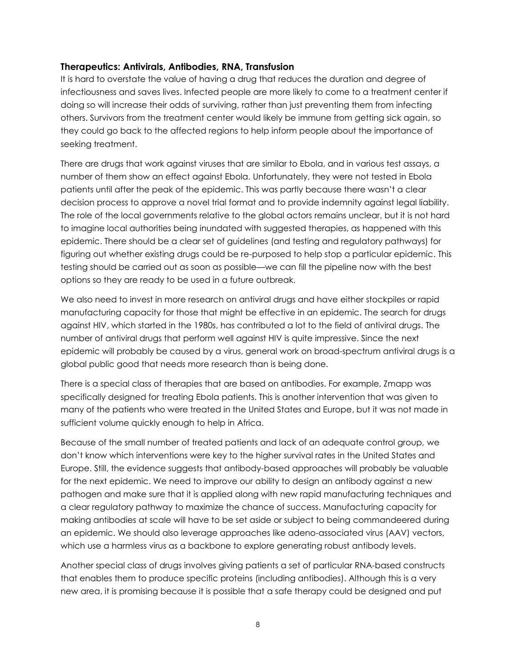#### **Therapeutics: Antivirals, Antibodies, RNA, Transfusion**

It is hard to overstate the value of having a drug that reduces the duration and degree of infectiousness and saves lives. Infected people are more likely to come to a treatment center if doing so will increase their odds of surviving, rather than just preventing them from infecting others. Survivors from the treatment center would likely be immune from getting sick again, so they could go back to the affected regions to help inform people about the importance of seeking treatment.

There are drugs that work against viruses that are similar to Ebola, and in various test assays, a number of them show an effect against Ebola. Unfortunately, they were not tested in Ebola patients until after the peak of the epidemic. This was partly because there wasn't a clear decision process to approve a novel trial format and to provide indemnity against legal liability. The role of the local governments relative to the global actors remains unclear, but it is not hard to imagine local authorities being inundated with suggested therapies, as happened with this epidemic. There should be a clear set of guidelines (and testing and regulatory pathways) for figuring out whether existing drugs could be re-purposed to help stop a particular epidemic. This testing should be carried out as soon as possible—we can fill the pipeline now with the best options so they are ready to be used in a future outbreak.

We also need to invest in more research on antiviral drugs and have either stockpiles or rapid manufacturing capacity for those that might be effective in an epidemic. The search for drugs against HIV, which started in the 1980s, has contributed a lot to the field of antiviral drugs. The number of antiviral drugs that perform well against HIV is quite impressive. Since the next epidemic will probably be caused by a virus, general work on broad-spectrum antiviral drugs is a global public good that needs more research than is being done.

There is a special class of therapies that are based on antibodies. For example, Zmapp was specifically designed for treating Ebola patients. This is another intervention that was given to many of the patients who were treated in the United States and Europe, but it was not made in sufficient volume quickly enough to help in Africa.

Because of the small number of treated patients and lack of an adequate control group, we don't know which interventions were key to the higher survival rates in the United States and Europe. Still, the evidence suggests that antibody-based approaches will probably be valuable for the next epidemic. We need to improve our ability to design an antibody against a new pathogen and make sure that it is applied along with new rapid manufacturing techniques and a clear regulatory pathway to maximize the chance of success. Manufacturing capacity for making antibodies at scale will have to be set aside or subject to being commandeered during an epidemic. We should also leverage approaches like adeno-associated virus (AAV) vectors, which use a harmless virus as a backbone to explore generating robust antibody levels.

Another special class of drugs involves giving patients a set of particular RNA-based constructs that enables them to produce specific proteins (including antibodies). Although this is a very new area, it is promising because it is possible that a safe therapy could be designed and put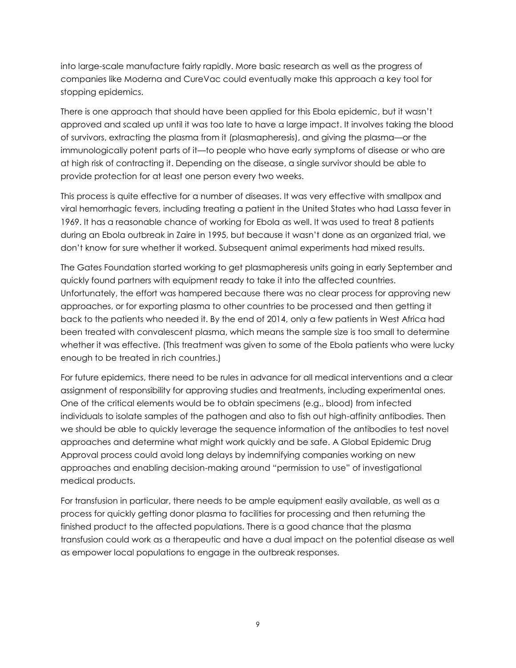into large-scale manufacture fairly rapidly. More basic research as well as the progress of companies like Moderna and CureVac could eventually make this approach a key tool for stopping epidemics.

There is one approach that should have been applied for this Ebola epidemic, but it wasn't approved and scaled up until it was too late to have a large impact. It involves taking the blood of survivors, extracting the plasma from it (plasmapheresis), and giving the plasma—or the immunologically potent parts of it—to people who have early symptoms of disease or who are at high risk of contracting it. Depending on the disease, a single survivor should be able to provide protection for at least one person every two weeks.

This process is quite effective for a number of diseases. It was very effective with smallpox and viral hemorrhagic fevers, including treating a patient in the United States who had Lassa fever in 1969. It has a reasonable chance of working for Ebola as well. It was used to treat 8 patients during an Ebola outbreak in Zaire in 1995, but because it wasn't done as an organized trial, we don't know for sure whether it worked. Subsequent animal experiments had mixed results.

The Gates Foundation started working to get plasmapheresis units going in early September and quickly found partners with equipment ready to take it into the affected countries. Unfortunately, the effort was hampered because there was no clear process for approving new approaches, or for exporting plasma to other countries to be processed and then getting it back to the patients who needed it. By the end of 2014, only a few patients in West Africa had been treated with convalescent plasma, which means the sample size is too small to determine whether it was effective. (This treatment was given to some of the Ebola patients who were lucky enough to be treated in rich countries.)

For future epidemics, there need to be rules in advance for all medical interventions and a clear assignment of responsibility for approving studies and treatments, including experimental ones. One of the critical elements would be to obtain specimens (e.g., blood) from infected individuals to isolate samples of the pathogen and also to fish out high-affinity antibodies. Then we should be able to quickly leverage the sequence information of the antibodies to test novel approaches and determine what might work quickly and be safe. A Global Epidemic Drug Approval process could avoid long delays by indemnifying companies working on new approaches and enabling decision-making around "permission to use" of investigational medical products.

For transfusion in particular, there needs to be ample equipment easily available, as well as a process for quickly getting donor plasma to facilities for processing and then returning the finished product to the affected populations. There is a good chance that the plasma transfusion could work as a therapeutic and have a dual impact on the potential disease as well as empower local populations to engage in the outbreak responses.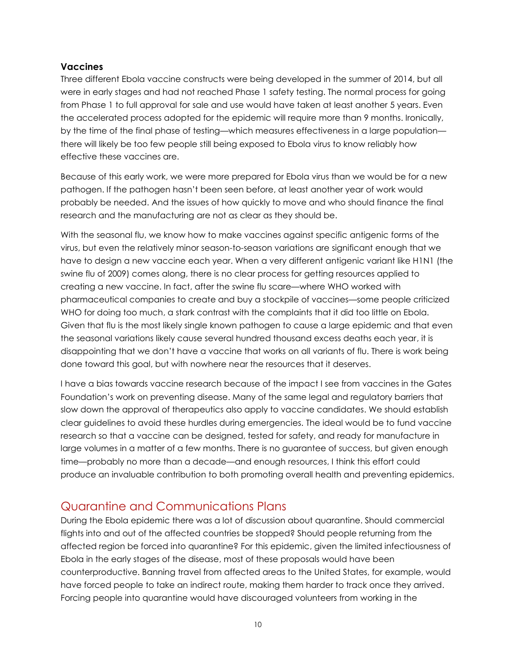#### **Vaccines**

Three different Ebola vaccine constructs were being developed in the summer of 2014, but all were in early stages and had not reached Phase 1 safety testing. The normal process for going from Phase 1 to full approval for sale and use would have taken at least another 5 years. Even the accelerated process adopted for the epidemic will require more than 9 months. Ironically, by the time of the final phase of testing—which measures effectiveness in a large population there will likely be too few people still being exposed to Ebola virus to know reliably how effective these vaccines are.

Because of this early work, we were more prepared for Ebola virus than we would be for a new pathogen. If the pathogen hasn't been seen before, at least another year of work would probably be needed. And the issues of how quickly to move and who should finance the final research and the manufacturing are not as clear as they should be.

With the seasonal flu, we know how to make vaccines against specific antigenic forms of the virus, but even the relatively minor season-to-season variations are significant enough that we have to design a new vaccine each year. When a very different antigenic variant like H1N1 (the swine flu of 2009) comes along, there is no clear process for getting resources applied to creating a new vaccine. In fact, after the swine flu scare—where WHO worked with pharmaceutical companies to create and buy a stockpile of vaccines—some people criticized WHO for doing too much, a stark contrast with the complaints that it did too little on Ebola. Given that flu is the most likely single known pathogen to cause a large epidemic and that even the seasonal variations likely cause several hundred thousand excess deaths each year, it is disappointing that we don't have a vaccine that works on all variants of flu. There is work being done toward this goal, but with nowhere near the resources that it deserves.

I have a bias towards vaccine research because of the impact I see from vaccines in the Gates Foundation's work on preventing disease. Many of the same legal and regulatory barriers that slow down the approval of therapeutics also apply to vaccine candidates. We should establish clear guidelines to avoid these hurdles during emergencies. The ideal would be to fund vaccine research so that a vaccine can be designed, tested for safety, and ready for manufacture in large volumes in a matter of a few months. There is no guarantee of success, but given enough time—probably no more than a decade—and enough resources, I think this effort could produce an invaluable contribution to both promoting overall health and preventing epidemics.

## Quarantine and Communications Plans

During the Ebola epidemic there was a lot of discussion about quarantine. Should commercial flights into and out of the affected countries be stopped? Should people returning from the affected region be forced into quarantine? For this epidemic, given the limited infectiousness of Ebola in the early stages of the disease, most of these proposals would have been counterproductive. Banning travel from affected areas to the United States, for example, would have forced people to take an indirect route, making them harder to track once they arrived. Forcing people into quarantine would have discouraged volunteers from working in the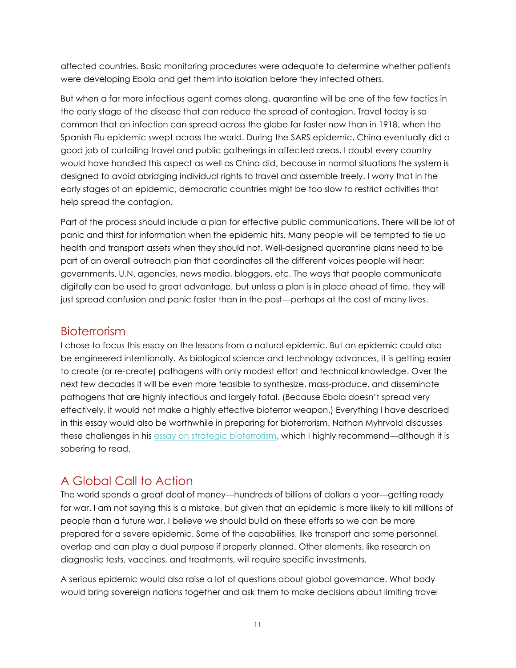affected countries. Basic monitoring procedures were adequate to determine whether patients were developing Ebola and get them into isolation before they infected others.

But when a far more infectious agent comes along, quarantine will be one of the few tactics in the early stage of the disease that can reduce the spread of contagion. Travel today is so common that an infection can spread across the globe far faster now than in 1918, when the Spanish Flu epidemic swept across the world. During the SARS epidemic, China eventually did a good job of curtailing travel and public gatherings in affected areas. I doubt every country would have handled this aspect as well as China did, because in normal situations the system is designed to avoid abridging individual rights to travel and assemble freely. I worry that in the early stages of an epidemic, democratic countries might be too slow to restrict activities that help spread the contagion.

Part of the process should include a plan for effective public communications. There will be lot of panic and thirst for information when the epidemic hits. Many people will be tempted to tie up health and transport assets when they should not. Well-designed quarantine plans need to be part of an overall outreach plan that coordinates all the different voices people will hear: governments, U.N. agencies, news media, bloggers, etc. The ways that people communicate digitally can be used to great advantage, but unless a plan is in place ahead of time, they will just spread confusion and panic faster than in the past—perhaps at the cost of many lives.

#### **Bioterrorism**

I chose to focus this essay on the lessons from a natural epidemic. But an epidemic could also be engineered intentionally. As biological science and technology advances, it is getting easier to create (or re-create) pathogens with only modest effort and technical knowledge. Over the next few decades it will be even more feasible to synthesize, mass-produce, and disseminate pathogens that are highly infectious and largely fatal. (Because Ebola doesn't spread very effectively, it would not make a highly effective bioterror weapon.) Everything I have described in this essay would also be worthwhile in preparing for bioterrorism. Nathan Myhrvold discusses these challenges in hi[s essay on strategic bioterrorism,](http://papers.ssrn.com/sol3/papers.cfm?abstract_id=2290382&download=yes) which I highly recommend—although it is sobering to read.

# A Global Call to Action

The world spends a great deal of money—hundreds of billions of dollars a year—getting ready for war. I am not saying this is a mistake, but given that an epidemic is more likely to kill millions of people than a future war, I believe we should build on these efforts so we can be more prepared for a severe epidemic. Some of the capabilities, like transport and some personnel, overlap and can play a dual purpose if properly planned. Other elements, like research on diagnostic tests, vaccines, and treatments, will require specific investments.

A serious epidemic would also raise a lot of questions about global governance. What body would bring sovereign nations together and ask them to make decisions about limiting travel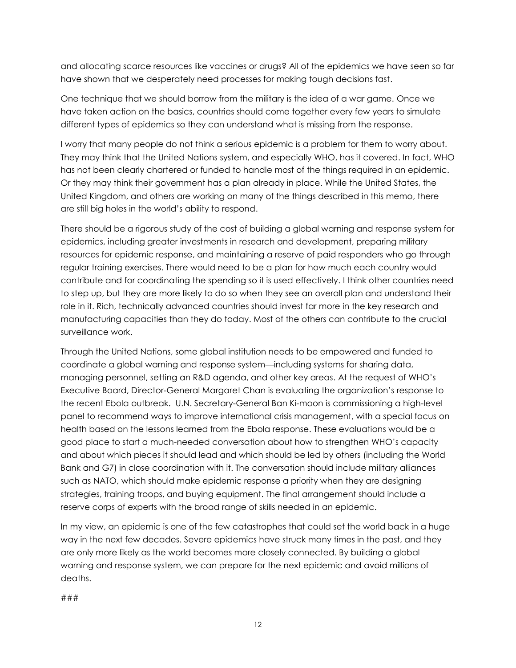and allocating scarce resources like vaccines or drugs? All of the epidemics we have seen so far have shown that we desperately need processes for making tough decisions fast.

One technique that we should borrow from the military is the idea of a war game. Once we have taken action on the basics, countries should come together every few years to simulate different types of epidemics so they can understand what is missing from the response.

I worry that many people do not think a serious epidemic is a problem for them to worry about. They may think that the United Nations system, and especially WHO, has it covered. In fact, WHO has not been clearly chartered or funded to handle most of the things required in an epidemic. Or they may think their government has a plan already in place. While the United States, the United Kingdom, and others are working on many of the things described in this memo, there are still big holes in the world's ability to respond.

There should be a rigorous study of the cost of building a global warning and response system for epidemics, including greater investments in research and development, preparing military resources for epidemic response, and maintaining a reserve of paid responders who go through regular training exercises. There would need to be a plan for how much each country would contribute and for coordinating the spending so it is used effectively. I think other countries need to step up, but they are more likely to do so when they see an overall plan and understand their role in it. Rich, technically advanced countries should invest far more in the key research and manufacturing capacities than they do today. Most of the others can contribute to the crucial surveillance work.

Through the United Nations, some global institution needs to be empowered and funded to coordinate a global warning and response system—including systems for sharing data, managing personnel, setting an R&D agenda, and other key areas. At the request of WHO's Executive Board, Director-General Margaret Chan is evaluating the organization's response to the recent Ebola outbreak. U.N. Secretary-General Ban Ki-moon is commissioning a high-level panel to recommend ways to improve international crisis management, with a special focus on health based on the lessons learned from the Ebola response. These evaluations would be a good place to start a much-needed conversation about how to strengthen WHO's capacity and about which pieces it should lead and which should be led by others (including the World Bank and G7) in close coordination with it. The conversation should include military alliances such as NATO, which should make epidemic response a priority when they are designing strategies, training troops, and buying equipment. The final arrangement should include a reserve corps of experts with the broad range of skills needed in an epidemic.

In my view, an epidemic is one of the few catastrophes that could set the world back in a huge way in the next few decades. Severe epidemics have struck many times in the past, and they are only more likely as the world becomes more closely connected. By building a global warning and response system, we can prepare for the next epidemic and avoid millions of deaths.